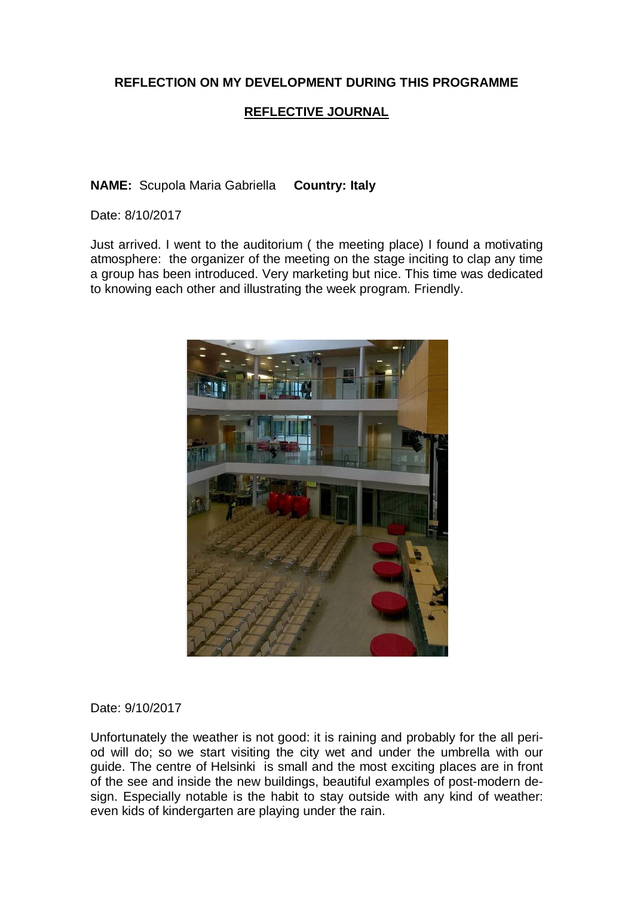# **REFLECTION ON MY DEVELOPMENT DURING THIS PROGRAMME**

# **REFLECTIVE JOURNAL**

**NAME:** Scupola Maria Gabriella **Country: Italy**

Date: 8/10/2017

Just arrived. I went to the auditorium ( the meeting place) I found a motivating atmosphere: the organizer of the meeting on the stage inciting to clap any time a group has been introduced. Very marketing but nice. This time was dedicated to knowing each other and illustrating the week program. Friendly.



Date: 9/10/2017

Unfortunately the weather is not good: it is raining and probably for the all period will do; so we start visiting the city wet and under the umbrella with our guide. The centre of Helsinki is small and the most exciting places are in front of the see and inside the new buildings, beautiful examples of post-modern design. Especially notable is the habit to stay outside with any kind of weather: even kids of kindergarten are playing under the rain.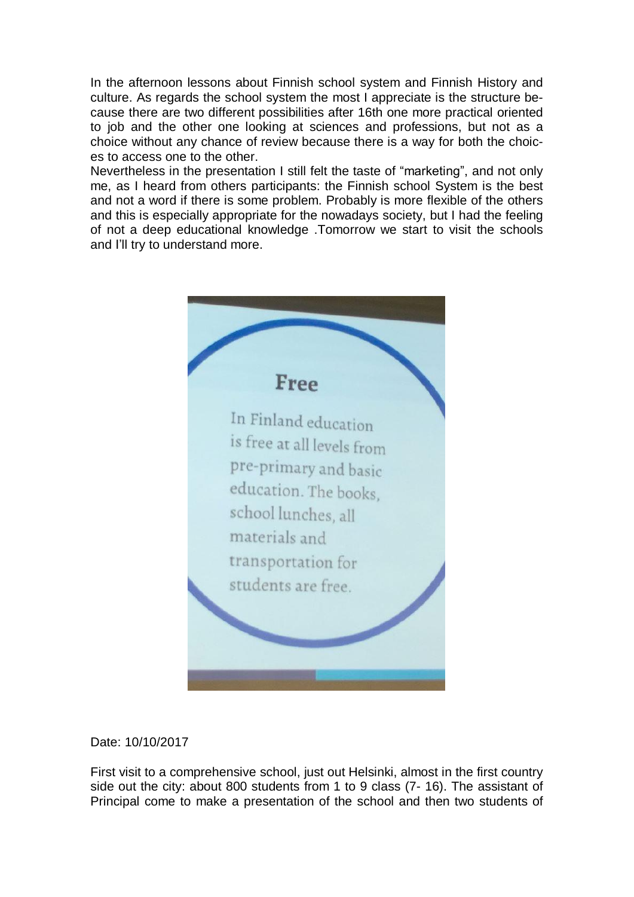In the afternoon lessons about Finnish school system and Finnish History and culture. As regards the school system the most I appreciate is the structure because there are two different possibilities after 16th one more practical oriented to job and the other one looking at sciences and professions, but not as a choice without any chance of review because there is a way for both the choices to access one to the other.

Nevertheless in the presentation I still felt the taste of "marketing", and not only me, as I heard from others participants: the Finnish school System is the best and not a word if there is some problem. Probably is more flexible of the others and this is especially appropriate for the nowadays society, but I had the feeling of not a deep educational knowledge .Tomorrow we start to visit the schools and I'll try to understand more.



Date: 10/10/2017

First visit to a comprehensive school, just out Helsinki, almost in the first country side out the city: about 800 students from 1 to 9 class (7- 16). The assistant of Principal come to make a presentation of the school and then two students of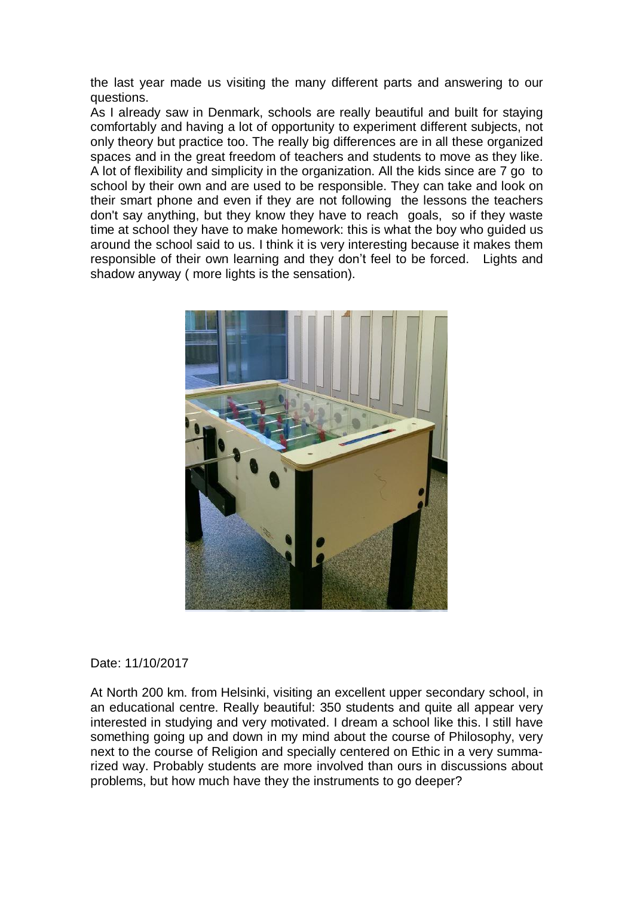the last year made us visiting the many different parts and answering to our questions.

As I already saw in Denmark, schools are really beautiful and built for staying comfortably and having a lot of opportunity to experiment different subjects, not only theory but practice too. The really big differences are in all these organized spaces and in the great freedom of teachers and students to move as they like. A lot of flexibility and simplicity in the organization. All the kids since are 7 go to school by their own and are used to be responsible. They can take and look on their smart phone and even if they are not following the lessons the teachers don't say anything, but they know they have to reach goals, so if they waste time at school they have to make homework: this is what the boy who guided us around the school said to us. I think it is very interesting because it makes them responsible of their own learning and they don't feel to be forced. Lights and shadow anyway ( more lights is the sensation).



## Date: 11/10/2017

At North 200 km. from Helsinki, visiting an excellent upper secondary school, in an educational centre. Really beautiful: 350 students and quite all appear very interested in studying and very motivated. I dream a school like this. I still have something going up and down in my mind about the course of Philosophy, very next to the course of Religion and specially centered on Ethic in a very summarized way. Probably students are more involved than ours in discussions about problems, but how much have they the instruments to go deeper?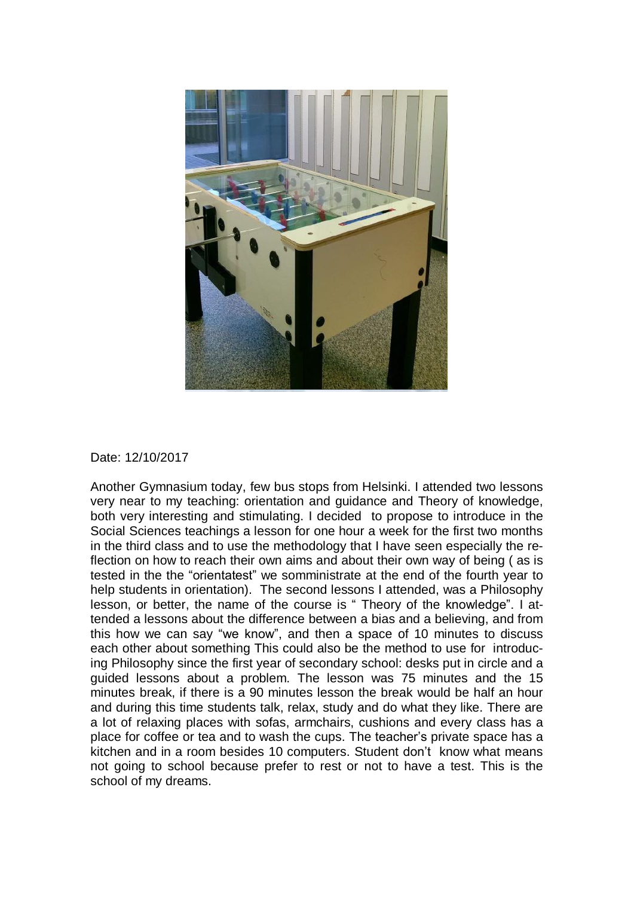

### Date: 12/10/2017

Another Gymnasium today, few bus stops from Helsinki. I attended two lessons very near to my teaching: orientation and guidance and Theory of knowledge, both very interesting and stimulating. I decided to propose to introduce in the Social Sciences teachings a lesson for one hour a week for the first two months in the third class and to use the methodology that I have seen especially the reflection on how to reach their own aims and about their own way of being ( as is tested in the the "orientatest" we somministrate at the end of the fourth year to help students in orientation). The second lessons I attended, was a Philosophy lesson, or better, the name of the course is " Theory of the knowledge". I attended a lessons about the difference between a bias and a believing, and from this how we can say "we know", and then a space of 10 minutes to discuss each other about something This could also be the method to use for introducing Philosophy since the first year of secondary school: desks put in circle and a guided lessons about a problem. The lesson was 75 minutes and the 15 minutes break, if there is a 90 minutes lesson the break would be half an hour and during this time students talk, relax, study and do what they like. There are a lot of relaxing places with sofas, armchairs, cushions and every class has a place for coffee or tea and to wash the cups. The teacher's private space has a kitchen and in a room besides 10 computers. Student don't know what means not going to school because prefer to rest or not to have a test. This is the school of my dreams.